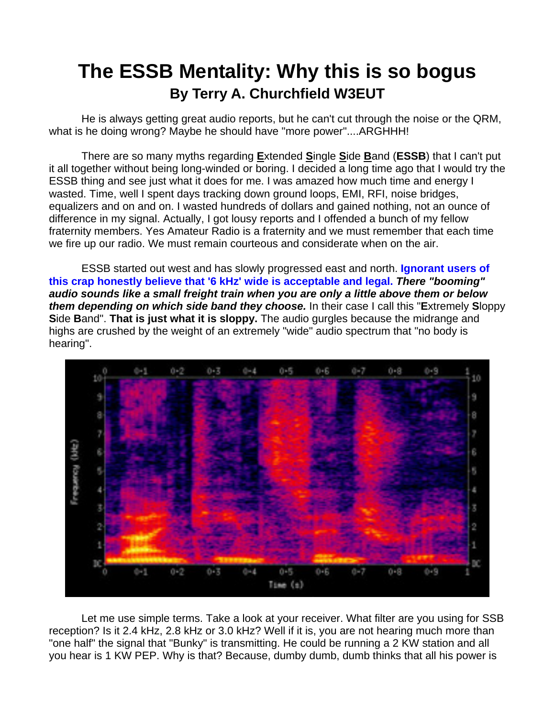## **The ESSB Mentality: Why this is so bogus By Terry A. Churchfield W3EUT**

He is always getting great audio reports, but he can't cut through the noise or the QRM, what is he doing wrong? Maybe he should have "more power"....ARGHHH!

 There are so many myths regarding **E**xtended **S**ingle **S**ide **B**and (**ESSB**) that I can't put it all together without being long-winded or boring. I decided a long time ago that I would try the ESSB thing and see just what it does for me. I was amazed how much time and energy I wasted. Time, well I spent days tracking down ground loops, EMI, RFI, noise bridges, equalizers and on and on. I wasted hundreds of dollars and gained nothing, not an ounce of difference in my signal. Actually, I got lousy reports and I offended a bunch of my fellow fraternity members. Yes Amateur Radio is a fraternity and we must remember that each time we fire up our radio. We must remain courteous and considerate when on the air.

 ESSB started out west and has slowly progressed east and north. **Ignorant users of this crap honestly believe that '6 kHz' wide is acceptable and legal.** *There "booming" audio sounds like a small freight train when you are only a little above them or below them depending on which side band they choose.* In their case I call this "**E**xtremely **S**loppy **S**ide **B**and". **That is just what it is sloppy.** The audio gurgles because the midrange and highs are crushed by the weight of an extremely "wide" audio spectrum that "no body is hearing".



 Let me use simple terms. Take a look at your receiver. What filter are you using for SSB reception? Is it 2.4 kHz, 2.8 kHz or 3.0 kHz? Well if it is, you are not hearing much more than "one half" the signal that "Bunky" is transmitting. He could be running a 2 KW station and all you hear is 1 KW PEP. Why is that? Because, dumby dumb, dumb thinks that all his power is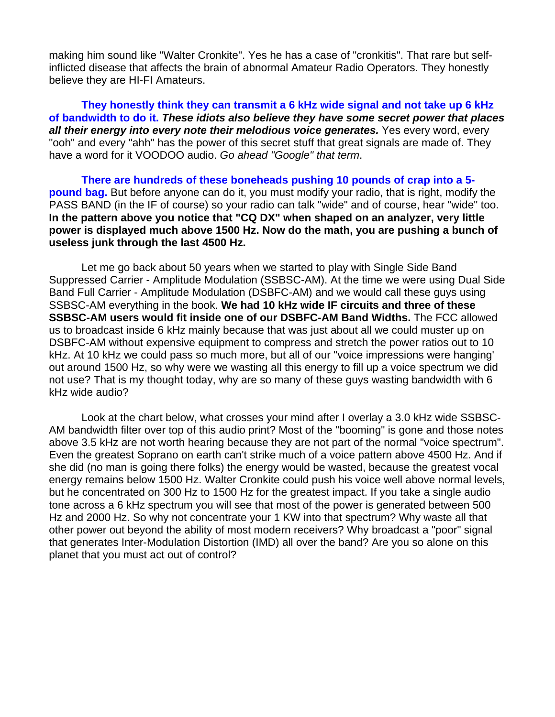making him sound like "Walter Cronkite". Yes he has a case of "cronkitis". That rare but selfinflicted disease that affects the brain of abnormal Amateur Radio Operators. They honestly believe they are HI-FI Amateurs.

**They honestly think they can transmit a 6 kHz wide signal and not take up 6 kHz of bandwidth to do it.** *These idiots also believe they have some secret power that places all their energy into every note their melodious voice generates.* Yes every word, every "ooh" and every "ahh" has the power of this secret stuff that great signals are made of. They have a word for it VOODOO audio. *Go ahead "Google" that term*.

**There are hundreds of these boneheads pushing 10 pounds of crap into a 5 pound bag.** But before anyone can do it, you must modify your radio, that is right, modify the PASS BAND (in the IF of course) so your radio can talk "wide" and of course, hear "wide" too. **In the pattern above you notice that "CQ DX" when shaped on an analyzer, very little power is displayed much above 1500 Hz. Now do the math, you are pushing a bunch of useless junk through the last 4500 Hz.** 

 Let me go back about 50 years when we started to play with Single Side Band Suppressed Carrier - Amplitude Modulation (SSBSC-AM). At the time we were using Dual Side Band Full Carrier - Amplitude Modulation (DSBFC-AM) and we would call these guys using SSBSC-AM everything in the book. **We had 10 kHz wide IF circuits and three of these SSBSC-AM users would fit inside one of our DSBFC-AM Band Widths.** The FCC allowed us to broadcast inside 6 kHz mainly because that was just about all we could muster up on DSBFC-AM without expensive equipment to compress and stretch the power ratios out to 10 kHz. At 10 kHz we could pass so much more, but all of our "voice impressions were hanging' out around 1500 Hz, so why were we wasting all this energy to fill up a voice spectrum we did not use? That is my thought today, why are so many of these guys wasting bandwidth with 6 kHz wide audio?

 Look at the chart below, what crosses your mind after I overlay a 3.0 kHz wide SSBSC-AM bandwidth filter over top of this audio print? Most of the "booming" is gone and those notes above 3.5 kHz are not worth hearing because they are not part of the normal "voice spectrum". Even the greatest Soprano on earth can't strike much of a voice pattern above 4500 Hz. And if she did (no man is going there folks) the energy would be wasted, because the greatest vocal energy remains below 1500 Hz. Walter Cronkite could push his voice well above normal levels, but he concentrated on 300 Hz to 1500 Hz for the greatest impact. If you take a single audio tone across a 6 kHz spectrum you will see that most of the power is generated between 500 Hz and 2000 Hz. So why not concentrate your 1 KW into that spectrum? Why waste all that other power out beyond the ability of most modern receivers? Why broadcast a "poor" signal that generates Inter-Modulation Distortion (IMD) all over the band? Are you so alone on this planet that you must act out of control?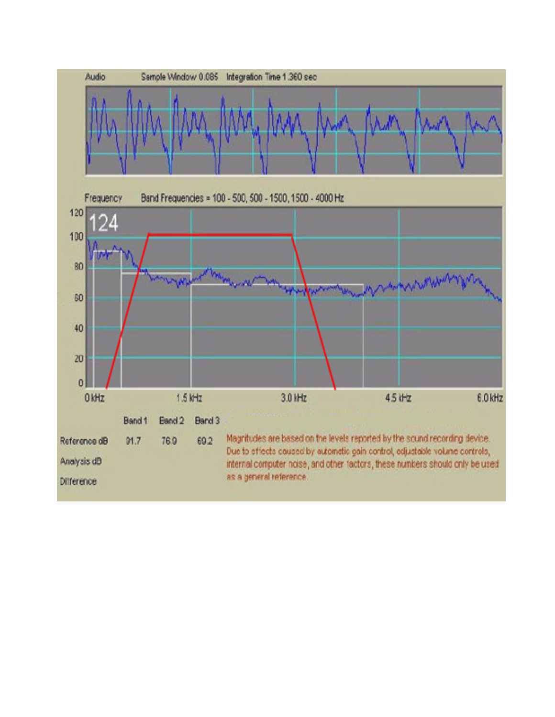